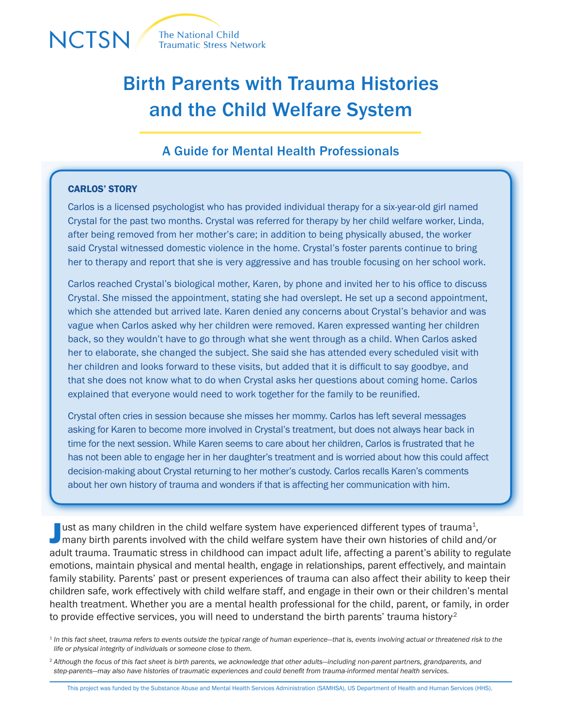

# Birth Parents with Trauma Histories and the Child Welfare System

# A Guide for Mental Health Professionals

## CARLOS' STORY

Carlos is a licensed psychologist who has provided individual therapy for a six-year-old girl named Crystal for the past two months. Crystal was referred for therapy by her child welfare worker, Linda, after being removed from her mother's care; in addition to being physically abused, the worker said Crystal witnessed domestic violence in the home. Crystal's foster parents continue to bring her to therapy and report that she is very aggressive and has trouble focusing on her school work.

Carlos reached Crystal's biological mother, Karen, by phone and invited her to his office to discuss Crystal. She missed the appointment, stating she had overslept. He set up a second appointment, which she attended but arrived late. Karen denied any concerns about Crystal's behavior and was vague when Carlos asked why her children were removed. Karen expressed wanting her children back, so they wouldn't have to go through what she went through as a child. When Carlos asked her to elaborate, she changed the subject. She said she has attended every scheduled visit with her children and looks forward to these visits, but added that it is difficult to say goodbye, and that she does not know what to do when Crystal asks her questions about coming home. Carlos explained that everyone would need to work together for the family to be reunified.

Crystal often cries in session because she misses her mommy. Carlos has left several messages asking for Karen to become more involved in Crystal's treatment, but does not always hear back in time for the next session. While Karen seems to care about her children, Carlos is frustrated that he has not been able to engage her in her daughter's treatment and is worried about how this could affect decision-making about Crystal returning to her mother's custody. Carlos recalls Karen's comments about her own history of trauma and wonders if that is affecting her communication with him.

I ust as many children in the child welfare system have experienced different types of trauma<sup>1</sup>,<br>many birth parents involved with the child welfare system have their own histories of child and/or ust as many children in the child welfare system have experienced different types of trauma<sup>1</sup>, adult trauma. Traumatic stress in childhood can impact adult life, affecting a parent's ability to regulate emotions, maintain physical and mental health, engage in relationships, parent effectively, and maintain family stability. Parents' past or present experiences of trauma can also affect their ability to keep their children safe, work effectively with child welfare staff, and engage in their own or their children's mental health treatment. Whether you are a mental health professional for the child, parent, or family, in order to provide effective services, you will need to understand the birth parents' trauma history<sup>2</sup>

<sup>1</sup> *In this fact sheet, trauma refers to events outside the typical range of human experience—that is, events involving actual or threatened risk to the life or physical integrity of individuals or someone close to them.* 

<sup>2</sup> *Although the focus of this fact sheet is birth parents, we acknowledge that other adults—including non-parent partners, grandparents, and step-parents—may also have histories of traumatic experiences and could benefit from trauma-informed mental health services.*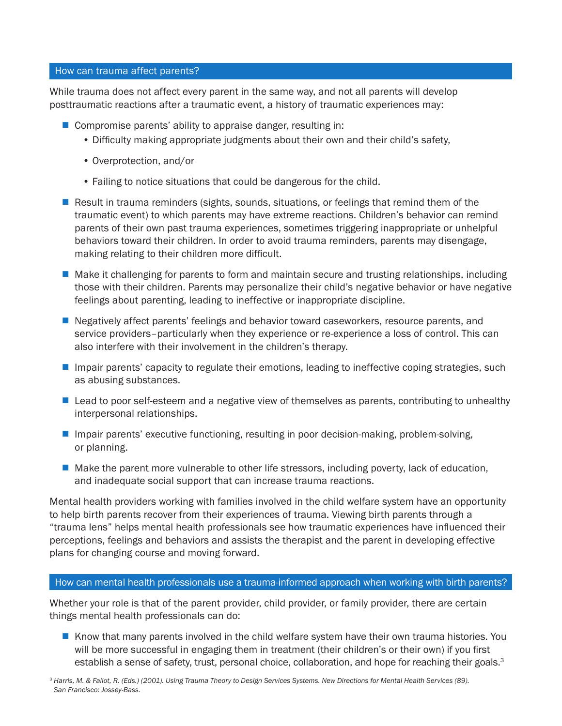#### How can trauma affect parents?

While trauma does not affect every parent in the same way, and not all parents will develop posttraumatic reactions after a traumatic event, a history of traumatic experiences may:

- $\blacksquare$  Compromise parents' ability to appraise danger, resulting in:
	- Difficulty making appropriate judgments about their own and their child's safety,
	- Overprotection, and/or
	- Failing to notice situations that could be dangerous for the child.
- Result in trauma reminders (sights, sounds, situations, or feelings that remind them of the traumatic event) to which parents may have extreme reactions. Children's behavior can remind parents of their own past trauma experiences, sometimes triggering inappropriate or unhelpful behaviors toward their children. In order to avoid trauma reminders, parents may disengage, making relating to their children more difficult.
- $\blacksquare$  Make it challenging for parents to form and maintain secure and trusting relationships, including those with their children. Parents may personalize their child's negative behavior or have negative feelings about parenting, leading to ineffective or inappropriate discipline.
- **Negatively affect parents' feelings and behavior toward caseworkers, resource parents, and** service providers–particularly when they experience or re-experience a loss of control. This can also interfere with their involvement in the children's therapy.
- **If impair parents' capacity to regulate their emotions, leading to ineffective coping strategies, such paragonal** as abusing substances.
- $\blacksquare$  Lead to poor self-esteem and a negative view of themselves as parents, contributing to unhealthy interpersonal relationships.
- **I** Impair parents' executive functioning, resulting in poor decision-making, problem-solving, or planning.
- $\blacksquare$  Make the parent more vulnerable to other life stressors, including poverty, lack of education, and inadequate social support that can increase trauma reactions.

Mental health providers working with families involved in the child welfare system have an opportunity to help birth parents recover from their experiences of trauma. Viewing birth parents through a "trauma lens" helps mental health professionals see how traumatic experiences have influenced their perceptions, feelings and behaviors and assists the therapist and the parent in developing effective plans for changing course and moving forward.

## How can mental health professionals use a trauma-informed approach when working with birth parents?

Whether your role is that of the parent provider, child provider, or family provider, there are certain things mental health professionals can do:

Know that many parents involved in the child welfare system have their own trauma histories. You will be more successful in engaging them in treatment (their children's or their own) if you first establish a sense of safety, trust, personal choice, collaboration, and hope for reaching their goals.<sup>3</sup>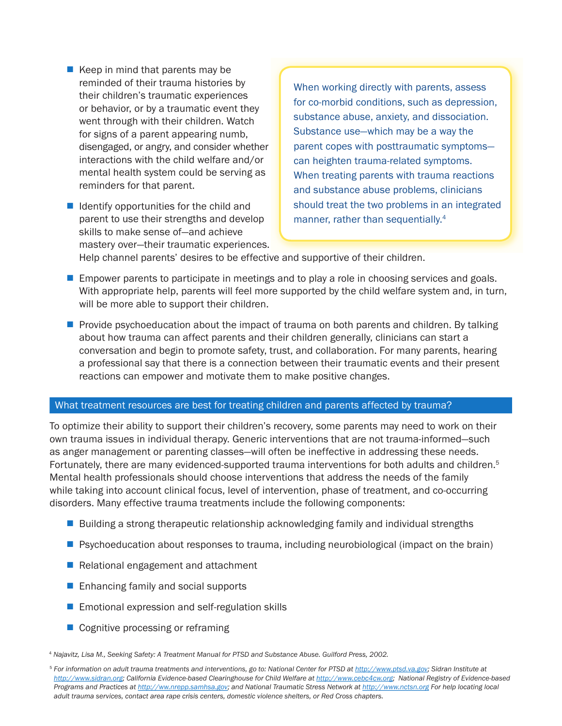- $\blacksquare$  Keep in mind that parents may be reminded of their trauma histories by their children's traumatic experiences or behavior, or by a traumatic event they went through with their children. Watch for signs of a parent appearing numb, disengaged, or angry, and consider whether interactions with the child welfare and/or mental health system could be serving as reminders for that parent.
- $\blacksquare$  Identify opportunities for the child and parent to use their strengths and develop skills to make sense of—and achieve mastery over—their traumatic experiences.

When working directly with parents, assess for co-morbid conditions, such as depression, substance abuse, anxiety, and dissociation. Substance use—which may be a way the parent copes with posttraumatic symptoms can heighten trauma-related symptoms. When treating parents with trauma reactions and substance abuse problems, clinicians should treat the two problems in an integrated manner, rather than sequentially.<sup>4</sup>

Help channel parents' desires to be effective and supportive of their children.

- $\blacksquare$  Empower parents to participate in meetings and to play a role in choosing services and goals. With appropriate help, parents will feel more supported by the child welfare system and, in turn, will be more able to support their children.
- $\blacksquare$  Provide psychoeducation about the impact of trauma on both parents and children. By talking about how trauma can affect parents and their children generally, clinicians can start a conversation and begin to promote safety, trust, and collaboration. For many parents, hearing a professional say that there is a connection between their traumatic events and their present reactions can empower and motivate them to make positive changes.

#### What treatment resources are best for treating children and parents affected by trauma?

To optimize their ability to support their children's recovery, some parents may need to work on their own trauma issues in individual therapy. Generic interventions that are not trauma-informed—such as anger management or parenting classes—will often be ineffective in addressing these needs. Fortunately, there are many evidenced-supported trauma interventions for both adults and children.<sup>5</sup> Mental health professionals should choose interventions that address the needs of the family while taking into account clinical focus, level of intervention, phase of treatment, and co-occurring disorders. Many effective trauma treatments include the following components:

- Building a strong therapeutic relationship acknowledging family and individual strengths
- $\blacksquare$  Psychoeducation about responses to trauma, including neurobiological (impact on the brain)
- $\blacksquare$  Relational engagement and attachment
- $\blacksquare$  Enhancing family and social supports
- $\blacksquare$  Emotional expression and self-regulation skills
- $\blacksquare$  Cognitive processing or reframing

<sup>4</sup> *Najavitz, Lisa M., Seeking Safety: A Treatment Manual for PTSD and Substance Abuse. Guilford Press, 2002.* 

<sup>5</sup> *For information on adult trauma treatments and interventions, go to: National Center for PTSD at<http://www.ptsd.va.gov>; Sidran Institute at*  [http://www.sidran.org;](http://www.sidran.org) California Evidence-based Clearinghouse for Child Welfare at <http://www.cebc4cw.org>; National Registry of Evidence-based *Programs and Practices at<http://ww.nrepp.samhsa.gov>; and National Traumatic Stress Network at http://www.nctsn.org For help locating local adult trauma services, contact area rape crisis centers, domestic violence shelters, or Red Cross chapters.*